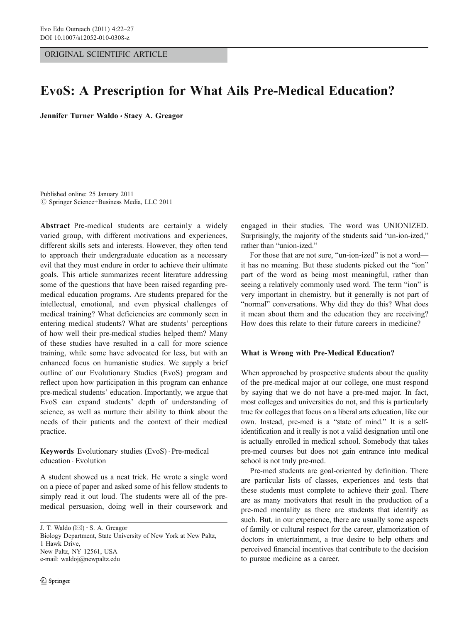ORIGINAL SCIENTIFIC ARTICLE

# EvoS: A Prescription for What Ails Pre-Medical Education?

Jennifer Turner Waldo · Stacy A. Greagor

Published online: 25 January 2011  $©$  Springer Science+Business Media, LLC 2011

Abstract Pre-medical students are certainly a widely varied group, with different motivations and experiences, different skills sets and interests. However, they often tend to approach their undergraduate education as a necessary evil that they must endure in order to achieve their ultimate goals. This article summarizes recent literature addressing some of the questions that have been raised regarding premedical education programs. Are students prepared for the intellectual, emotional, and even physical challenges of medical training? What deficiencies are commonly seen in entering medical students? What are students' perceptions of how well their pre-medical studies helped them? Many of these studies have resulted in a call for more science training, while some have advocated for less, but with an enhanced focus on humanistic studies. We supply a brief outline of our Evolutionary Studies (EvoS) program and reflect upon how participation in this program can enhance pre-medical students' education. Importantly, we argue that EvoS can expand students' depth of understanding of science, as well as nurture their ability to think about the needs of their patients and the context of their medical practice.

Keywords Evolutionary studies (EvoS) . Pre-medical education . Evolution

A student showed us a neat trick. He wrote a single word on a piece of paper and asked some of his fellow students to simply read it out loud. The students were all of the premedical persuasion, doing well in their coursework and

J. T. Waldo ( $\boxtimes$ ) · S. A. Greagor Biology Department, State University of New York at New Paltz, 1 Hawk Drive, New Paltz, NY 12561, USA e-mail: waldoj@newpaltz.edu

engaged in their studies. The word was UNIONIZED. Surprisingly, the majority of the students said "un-ion-ized," rather than "union-ized."

For those that are not sure, "un-ion-ized" is not a word it has no meaning. But these students picked out the "ion" part of the word as being most meaningful, rather than seeing a relatively commonly used word. The term "ion" is very important in chemistry, but it generally is not part of "normal" conversations. Why did they do this? What does it mean about them and the education they are receiving? How does this relate to their future careers in medicine?

### What is Wrong with Pre-Medical Education?

When approached by prospective students about the quality of the pre-medical major at our college, one must respond by saying that we do not have a pre-med major. In fact, most colleges and universities do not, and this is particularly true for colleges that focus on a liberal arts education, like our own. Instead, pre-med is a "state of mind." It is a selfidentification and it really is not a valid designation until one is actually enrolled in medical school. Somebody that takes pre-med courses but does not gain entrance into medical school is not truly pre-med.

Pre-med students are goal-oriented by definition. There are particular lists of classes, experiences and tests that these students must complete to achieve their goal. There are as many motivators that result in the production of a pre-med mentality as there are students that identify as such. But, in our experience, there are usually some aspects of family or cultural respect for the career, glamorization of doctors in entertainment, a true desire to help others and perceived financial incentives that contribute to the decision to pursue medicine as a career.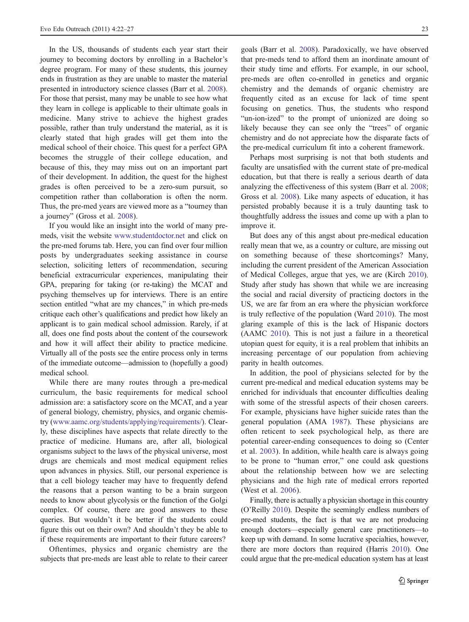In the US, thousands of students each year start their journey to becoming doctors by enrolling in a Bachelor's degree program. For many of these students, this journey ends in frustration as they are unable to master the material presented in introductory science classes (Barr et al. [2008](#page-4-0)). For those that persist, many may be unable to see how what they learn in college is applicable to their ultimate goals in medicine. Many strive to achieve the highest grades possible, rather than truly understand the material, as it is clearly stated that high grades will get them into the medical school of their choice. This quest for a perfect GPA becomes the struggle of their college education, and because of this, they may miss out on an important part of their development. In addition, the quest for the highest grades is often perceived to be a zero-sum pursuit, so competition rather than collaboration is often the norm. Thus, the pre-med years are viewed more as a "tourney than a journey" (Gross et al. [2008](#page-5-0)).

If you would like an insight into the world of many premeds, visit the website [www.studentdoctor.net](http://www.studentdoctor.net) and click on the pre-med forums tab. Here, you can find over four million posts by undergraduates seeking assistance in course selection, soliciting letters of recommendation, securing beneficial extracurricular experiences, manipulating their GPA, preparing for taking (or re-taking) the MCAT and psyching themselves up for interviews. There is an entire section entitled "what are my chances," in which pre-meds critique each other's qualifications and predict how likely an applicant is to gain medical school admission. Rarely, if at all, does one find posts about the content of the coursework and how it will affect their ability to practice medicine. Virtually all of the posts see the entire process only in terms of the immediate outcome—admission to (hopefully a good) medical school.

While there are many routes through a pre-medical curriculum, the basic requirements for medical school admission are: a satisfactory score on the MCAT, and a year of general biology, chemistry, physics, and organic chemistry [\(www.aamc.org/students/applying/requirements/](http://www.aamc.org/students/applying/requirements/)). Clearly, these disciplines have aspects that relate directly to the practice of medicine. Humans are, after all, biological organisms subject to the laws of the physical universe, most drugs are chemicals and most medical equipment relies upon advances in physics. Still, our personal experience is that a cell biology teacher may have to frequently defend the reasons that a person wanting to be a brain surgeon needs to know about glycolysis or the function of the Golgi complex. Of course, there are good answers to these queries. But wouldn't it be better if the students could figure this out on their own? And shouldn't they be able to if these requirements are important to their future careers?

Oftentimes, physics and organic chemistry are the subjects that pre-meds are least able to relate to their career goals (Barr et al. [2008](#page-4-0)). Paradoxically, we have observed that pre-meds tend to afford them an inordinate amount of their study time and efforts. For example, in our school, pre-meds are often co-enrolled in genetics and organic chemistry and the demands of organic chemistry are frequently cited as an excuse for lack of time spent focusing on genetics. Thus, the students who respond "un-ion-ized" to the prompt of unionized are doing so likely because they can see only the "trees" of organic chemistry and do not appreciate how the disparate facts of the pre-medical curriculum fit into a coherent framework.

Perhaps most surprising is not that both students and faculty are unsatisfied with the current state of pre-medical education, but that there is really a serious dearth of data analyzing the effectiveness of this system (Barr et al. [2008;](#page-4-0) Gross et al. [2008\)](#page-5-0). Like many aspects of education, it has persisted probably because it is a truly daunting task to thoughtfully address the issues and come up with a plan to improve it.

But does any of this angst about pre-medical education really mean that we, as a country or culture, are missing out on something because of these shortcomings? Many, including the current president of the American Association of Medical Colleges, argue that yes, we are (Kirch [2010\)](#page-5-0). Study after study has shown that while we are increasing the social and racial diversity of practicing doctors in the US, we are far from an era where the physician workforce is truly reflective of the population (Ward [2010\)](#page-5-0). The most glaring example of this is the lack of Hispanic doctors (AAMC [2010\)](#page-4-0). This is not just a failure in a theoretical utopian quest for equity, it is a real problem that inhibits an increasing percentage of our population from achieving parity in health outcomes.

In addition, the pool of physicians selected for by the current pre-medical and medical education systems may be enriched for individuals that encounter difficulties dealing with some of the stressful aspects of their chosen careers. For example, physicians have higher suicide rates than the general population (AMA [1987](#page-4-0)). These physicians are often reticent to seek psychological help, as there are potential career-ending consequences to doing so (Center et al. [2003](#page-4-0)). In addition, while health care is always going to be prone to "human error," one could ask questions about the relationship between how we are selecting physicians and the high rate of medical errors reported (West et al. [2006\)](#page-5-0).

Finally, there is actually a physician shortage in this country (O'Reilly [2010\)](#page-5-0). Despite the seemingly endless numbers of pre-med students, the fact is that we are not producing enough doctors—especially general care practitioners—to keep up with demand. In some lucrative specialties, however, there are more doctors than required (Harris [2010](#page-5-0)). One could argue that the pre-medical education system has at least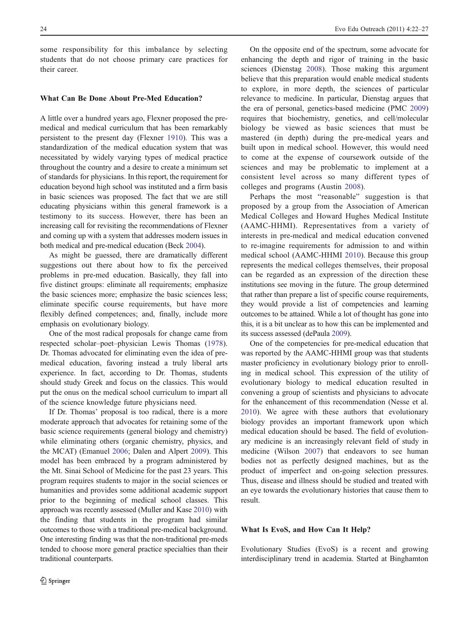some responsibility for this imbalance by selecting students that do not choose primary care practices for their career.

#### What Can Be Done About Pre-Med Education?

A little over a hundred years ago, Flexner proposed the premedical and medical curriculum that has been remarkably persistent to the present day (Flexner [1910](#page-5-0)). This was a standardization of the medical education system that was necessitated by widely varying types of medical practice throughout the country and a desire to create a minimum set of standards for physicians. In this report, the requirement for education beyond high school was instituted and a firm basis in basic sciences was proposed. The fact that we are still educating physicians within this general framework is a testimony to its success. However, there has been an increasing call for revisiting the recommendations of Flexner and coming up with a system that addresses modern issues in both medical and pre-medical education (Beck [2004\)](#page-4-0).

As might be guessed, there are dramatically different suggestions out there about how to fix the perceived problems in pre-med education. Basically, they fall into five distinct groups: eliminate all requirements; emphasize the basic sciences more; emphasize the basic sciences less; eliminate specific course requirements, but have more flexibly defined competences; and, finally, include more emphasis on evolutionary biology.

One of the most radical proposals for change came from respected scholar–poet–physician Lewis Thomas [\(1978](#page-5-0)). Dr. Thomas advocated for eliminating even the idea of premedical education, favoring instead a truly liberal arts experience. In fact, according to Dr. Thomas, students should study Greek and focus on the classics. This would put the onus on the medical school curriculum to impart all of the science knowledge future physicians need.

If Dr. Thomas' proposal is too radical, there is a more moderate approach that advocates for retaining some of the basic science requirements (general biology and chemistry) while eliminating others (organic chemistry, physics, and the MCAT) (Emanuel [2006;](#page-5-0) Dalen and Alpert [2009](#page-4-0)). This model has been embraced by a program administered by the Mt. Sinai School of Medicine for the past 23 years. This program requires students to major in the social sciences or humanities and provides some additional academic support prior to the beginning of medical school classes. This approach was recently assessed (Muller and Kase [2010\)](#page-5-0) with the finding that students in the program had similar outcomes to those with a traditional pre-medical background. One interesting finding was that the non-traditional pre-meds tended to choose more general practice specialties than their traditional counterparts.

On the opposite end of the spectrum, some advocate for enhancing the depth and rigor of training in the basic sciences (Dienstag [2008](#page-5-0)). Those making this argument believe that this preparation would enable medical students to explore, in more depth, the sciences of particular relevance to medicine. In particular, Dienstag argues that the era of personal, genetics-based medicine (PMC [2009](#page-5-0)) requires that biochemistry, genetics, and cell/molecular biology be viewed as basic sciences that must be mastered (in depth) during the pre-medical years and built upon in medical school. However, this would need to come at the expense of coursework outside of the sciences and may be problematic to implement at a consistent level across so many different types of colleges and programs (Austin [2008](#page-4-0)).

Perhaps the most "reasonable" suggestion is that proposed by a group from the Association of American Medical Colleges and Howard Hughes Medical Institute (AAMC-HHMI). Representatives from a variety of interests in pre-medical and medical education convened to re-imagine requirements for admission to and within medical school (AAMC-HHMI [2010\)](#page-4-0). Because this group represents the medical colleges themselves, their proposal can be regarded as an expression of the direction these institutions see moving in the future. The group determined that rather than prepare a list of specific course requirements, they would provide a list of competencies and learning outcomes to be attained. While a lot of thought has gone into this, it is a bit unclear as to how this can be implemented and its success assessed (dePaula [2009](#page-5-0)).

One of the competencies for pre-medical education that was reported by the AAMC-HHMI group was that students master proficiency in evolutionary biology prior to enrolling in medical school. This expression of the utility of evolutionary biology to medical education resulted in convening a group of scientists and physicians to advocate for the enhancement of this recommendation (Nesse et al. [2010](#page-5-0)). We agree with these authors that evolutionary biology provides an important framework upon which medical education should be based. The field of evolutionary medicine is an increasingly relevant field of study in medicine (Wilson [2007\)](#page-5-0) that endeavors to see human bodies not as perfectly designed machines, but as the product of imperfect and on-going selection pressures. Thus, disease and illness should be studied and treated with an eye towards the evolutionary histories that cause them to result.

## What Is EvoS, and How Can It Help?

Evolutionary Studies (EvoS) is a recent and growing interdisciplinary trend in academia. Started at Binghamton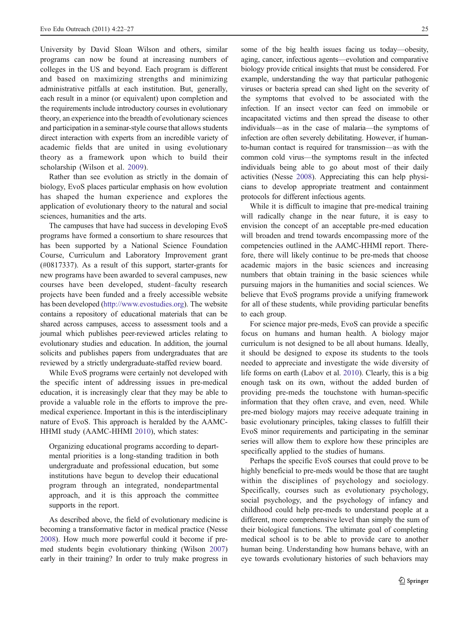University by David Sloan Wilson and others, similar programs can now be found at increasing numbers of colleges in the US and beyond. Each program is different and based on maximizing strengths and minimizing administrative pitfalls at each institution. But, generally, each result in a minor (or equivalent) upon completion and the requirements include introductory courses in evolutionary theory, an experience into the breadth of evolutionary sciences and participation in a seminar-style course that allows students direct interaction with experts from an incredible variety of academic fields that are united in using evolutionary theory as a framework upon which to build their scholarship (Wilson et al. [2009](#page-5-0)).

Rather than see evolution as strictly in the domain of biology, EvoS places particular emphasis on how evolution has shaped the human experience and explores the application of evolutionary theory to the natural and social sciences, humanities and the arts.

The campuses that have had success in developing EvoS programs have formed a consortium to share resources that has been supported by a National Science Foundation Course, Curriculum and Laboratory Improvement grant (#0817337). As a result of this support, starter-grants for new programs have been awarded to several campuses, new courses have been developed, student–faculty research projects have been funded and a freely accessible website has been developed ([http://www.evostudies.org\)](http://www.evostudies.org). The website contains a repository of educational materials that can be shared across campuses, access to assessment tools and a journal which publishes peer-reviewed articles relating to evolutionary studies and education. In addition, the journal solicits and publishes papers from undergraduates that are reviewed by a strictly undergraduate-staffed review board.

While EvoS programs were certainly not developed with the specific intent of addressing issues in pre-medical education, it is increasingly clear that they may be able to provide a valuable role in the efforts to improve the premedical experience. Important in this is the interdisciplinary nature of EvoS. This approach is heralded by the AAMC-HHMI study (AAMC-HHMI [2010\)](#page-4-0), which states:

Organizing educational programs according to departmental priorities is a long-standing tradition in both undergraduate and professional education, but some institutions have begun to develop their educational program through an integrated, nondepartmental approach, and it is this approach the committee supports in the report.

As described above, the field of evolutionary medicine is becoming a transformative factor in medical practice (Nesse [2008\)](#page-5-0). How much more powerful could it become if premed students begin evolutionary thinking (Wilson [2007\)](#page-5-0) early in their training? In order to truly make progress in some of the big health issues facing us today—obesity, aging, cancer, infectious agents—evolution and comparative biology provide critical insights that must be considered. For example, understanding the way that particular pathogenic viruses or bacteria spread can shed light on the severity of the symptoms that evolved to be associated with the infection. If an insect vector can feed on immobile or incapacitated victims and then spread the disease to other individuals—as in the case of malaria—the symptoms of infection are often severely debilitating. However, if humanto-human contact is required for transmission—as with the common cold virus—the symptoms result in the infected individuals being able to go about most of their daily activities (Nesse [2008](#page-5-0)). Appreciating this can help physicians to develop appropriate treatment and containment protocols for different infectious agents.

While it is difficult to imagine that pre-medical training will radically change in the near future, it is easy to envision the concept of an acceptable pre-med education will broaden and trend towards encompassing more of the competencies outlined in the AAMC-HHMI report. Therefore, there will likely continue to be pre-meds that choose academic majors in the basic sciences and increasing numbers that obtain training in the basic sciences while pursuing majors in the humanities and social sciences. We believe that EvoS programs provide a unifying framework for all of these students, while providing particular benefits to each group.

For science major pre-meds, EvoS can provide a specific focus on humans and human health. A biology major curriculum is not designed to be all about humans. Ideally, it should be designed to expose its students to the tools needed to appreciate and investigate the wide diversity of life forms on earth (Labov et al. [2010](#page-5-0)). Clearly, this is a big enough task on its own, without the added burden of providing pre-meds the touchstone with human-specific information that they often crave, and even, need. While pre-med biology majors may receive adequate training in basic evolutionary principles, taking classes to fulfill their EvoS minor requirements and participating in the seminar series will allow them to explore how these principles are specifically applied to the studies of humans.

Perhaps the specific EvoS courses that could prove to be highly beneficial to pre-meds would be those that are taught within the disciplines of psychology and sociology. Specifically, courses such as evolutionary psychology, social psychology, and the psychology of infancy and childhood could help pre-meds to understand people at a different, more comprehensive level than simply the sum of their biological functions. The ultimate goal of completing medical school is to be able to provide care to another human being. Understanding how humans behave, with an eye towards evolutionary histories of such behaviors may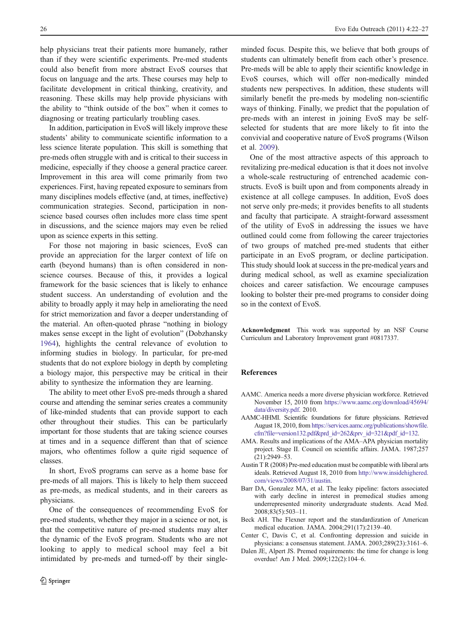<span id="page-4-0"></span>help physicians treat their patients more humanely, rather than if they were scientific experiments. Pre-med students could also benefit from more abstract EvoS courses that focus on language and the arts. These courses may help to facilitate development in critical thinking, creativity, and reasoning. These skills may help provide physicians with the ability to "think outside of the box" when it comes to diagnosing or treating particularly troubling cases.

In addition, participation in EvoS will likely improve these students' ability to communicate scientific information to a less science literate population. This skill is something that pre-meds often struggle with and is critical to their success in medicine, especially if they choose a general practice career. Improvement in this area will come primarily from two experiences. First, having repeated exposure to seminars from many disciplines models effective (and, at times, ineffective) communication strategies. Second, participation in nonscience based courses often includes more class time spent in discussions, and the science majors may even be relied upon as science experts in this setting.

For those not majoring in basic sciences, EvoS can provide an appreciation for the larger context of life on earth (beyond humans) than is often considered in nonscience courses. Because of this, it provides a logical framework for the basic sciences that is likely to enhance student success. An understanding of evolution and the ability to broadly apply it may help in ameliorating the need for strict memorization and favor a deeper understanding of the material. An often-quoted phrase "nothing in biology makes sense except in the light of evolution" (Dobzhansky [1964\)](#page-5-0), highlights the central relevance of evolution to informing studies in biology. In particular, for pre-med students that do not explore biology in depth by completing a biology major, this perspective may be critical in their ability to synthesize the information they are learning.

The ability to meet other EvoS pre-meds through a shared course and attending the seminar series creates a community of like-minded students that can provide support to each other throughout their studies. This can be particularly important for those students that are taking science courses at times and in a sequence different than that of science majors, who oftentimes follow a quite rigid sequence of classes.

In short, EvoS programs can serve as a home base for pre-meds of all majors. This is likely to help them succeed as pre-meds, as medical students, and in their careers as physicians.

One of the consequences of recommending EvoS for pre-med students, whether they major in a science or not, is that the competitive nature of pre-med students may alter the dynamic of the EvoS program. Students who are not looking to apply to medical school may feel a bit intimidated by pre-meds and turned-off by their single-

minded focus. Despite this, we believe that both groups of students can ultimately benefit from each other's presence. Pre-meds will be able to apply their scientific knowledge in EvoS courses, which will offer non-medically minded students new perspectives. In addition, these students will similarly benefit the pre-meds by modeling non-scientific ways of thinking. Finally, we predict that the population of pre-meds with an interest in joining EvoS may be selfselected for students that are more likely to fit into the convivial and cooperative nature of EvoS programs (Wilson et al. [2009](#page-5-0)).

One of the most attractive aspects of this approach to revitalizing pre-medical education is that it does not involve a whole-scale restructuring of entrenched academic constructs. EvoS is built upon and from components already in existence at all college campuses. In addition, EvoS does not serve only pre-meds; it provides benefits to all students and faculty that participate. A straight-forward assessment of the utility of EvoS in addressing the issues we have outlined could come from following the career trajectories of two groups of matched pre-med students that either participate in an EvoS program, or decline participation. This study should look at success in the pre-medical years and during medical school, as well as examine specialization choices and career satisfaction. We encourage campuses looking to bolster their pre-med programs to consider doing so in the context of EvoS.

Acknowledgment This work was supported by an NSF Course Curriculum and Laboratory Improvement grant #0817337.

#### References

- AAMC. America needs a more diverse physician workforce. Retrieved November 15, 2010 from [https://www.aamc.org/download/45694/](https://www.aamc.org/download/45694/data/diversity.pdf) [data/diversity.pdf.](https://www.aamc.org/download/45694/data/diversity.pdf) 2010.
- AAMC-HHMI. Scientific foundations for future physicians. Retrieved August 18, 2010, from [https://services.aamc.org/publications/showfile.](https://services.aamc.org/publications/showfile.cfm?file=version132.pdf&prd_id=262&prv_id=321&pdf_id=132) [cfm?file=version132.pdf&prd\\_id=262&prv\\_id=321&pdf\\_id=132.](https://services.aamc.org/publications/showfile.cfm?file=version132.pdf&prd_id=262&prv_id=321&pdf_id=132)
- AMA. Results and implications of the AMA–APA physician mortality project. Stage II. Council on scientific affairs. JAMA. 1987;257 (21):2949–53.
- Austin T R (2008) Pre-med education must be compatible with liberal arts ideals. Retrieved August 18, 2010 from [http://www.insidehighered.](http://www.insidehighered.com/views/2008/07/31/austin) [com/views/2008/07/31/austin.](http://www.insidehighered.com/views/2008/07/31/austin)
- Barr DA, Gonzalez MA, et al. The leaky pipeline: factors associated with early decline in interest in premedical studies among underrepresented minority undergraduate students. Acad Med. 2008;83(5):503–11.
- Beck AH. The Flexner report and the standardization of American medical education. JAMA. 2004;291(17):2139–40.
- Center C, Davis C, et al. Confronting depression and suicide in physicians: a consensus statement. JAMA. 2003;289(23):3161–6.
- Dalen JE, Alpert JS. Premed requirements: the time for change is long overdue! Am J Med. 2009;122(2):104–6.